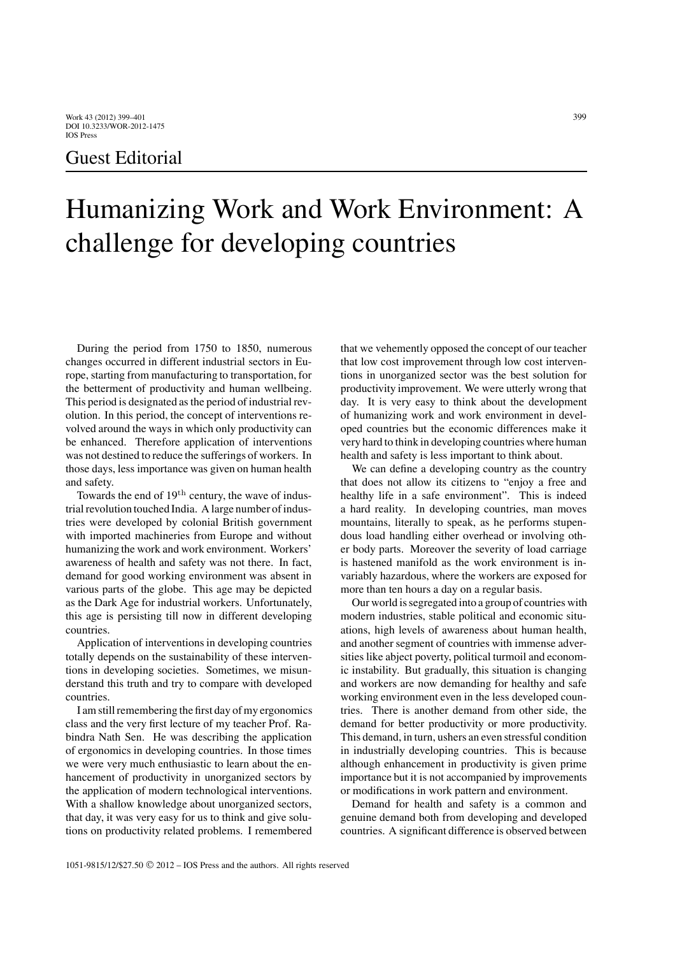## Guest Editorial

## Humanizing Work and Work Environment: A challenge for developing countries

During the period from 1750 to 1850, numerous changes occurred in different industrial sectors in Europe, starting from manufacturing to transportation, for the betterment of productivity and human wellbeing. This period is designated as the period of industrial revolution. In this period, the concept of interventions revolved around the ways in which only productivity can be enhanced. Therefore application of interventions was not destined to reduce the sufferings of workers. In those days, less importance was given on human health and safety.

Towards the end of 19th century, the wave of industrial revolution touched India. A large number of industries were developed by colonial British government with imported machineries from Europe and without humanizing the work and work environment. Workers' awareness of health and safety was not there. In fact, demand for good working environment was absent in various parts of the globe. This age may be depicted as the Dark Age for industrial workers. Unfortunately, this age is persisting till now in different developing countries.

Application of interventions in developing countries totally depends on the sustainability of these interventions in developing societies. Sometimes, we misunderstand this truth and try to compare with developed countries.

I am still remembering the first day of my ergonomics class and the very first lecture of my teacher Prof. Rabindra Nath Sen. He was describing the application of ergonomics in developing countries. In those times we were very much enthusiastic to learn about the enhancement of productivity in unorganized sectors by the application of modern technological interventions. With a shallow knowledge about unorganized sectors, that day, it was very easy for us to think and give solutions on productivity related problems. I remembered that we vehemently opposed the concept of our teacher that low cost improvement through low cost interventions in unorganized sector was the best solution for productivity improvement. We were utterly wrong that day. It is very easy to think about the development of humanizing work and work environment in developed countries but the economic differences make it very hard to think in developing countries where human health and safety is less important to think about.

We can define a developing country as the country that does not allow its citizens to "enjoy a free and healthy life in a safe environment". This is indeed a hard reality. In developing countries, man moves mountains, literally to speak, as he performs stupendous load handling either overhead or involving other body parts. Moreover the severity of load carriage is hastened manifold as the work environment is invariably hazardous, where the workers are exposed for more than ten hours a day on a regular basis.

Our world is segregated into a group of countries with modern industries, stable political and economic situations, high levels of awareness about human health, and another segment of countries with immense adversities like abject poverty, political turmoil and economic instability. But gradually, this situation is changing and workers are now demanding for healthy and safe working environment even in the less developed countries. There is another demand from other side, the demand for better productivity or more productivity. This demand, in turn, ushers an even stressful condition in industrially developing countries. This is because although enhancement in productivity is given prime importance but it is not accompanied by improvements or modifications in work pattern and environment.

Demand for health and safety is a common and genuine demand both from developing and developed countries. A significant difference is observed between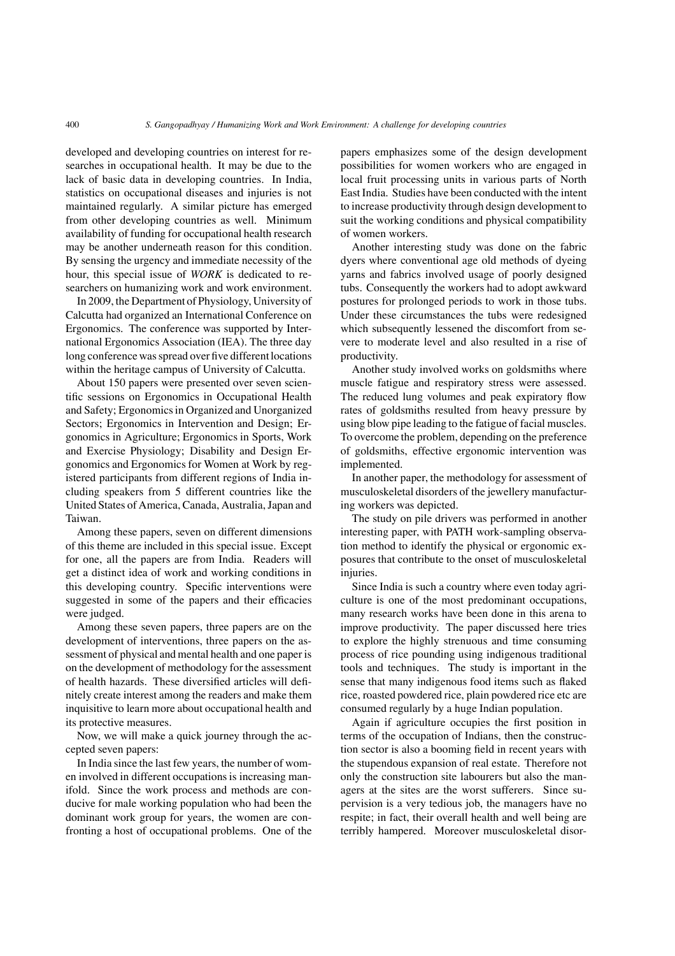developed and developing countries on interest for researches in occupational health. It may be due to the lack of basic data in developing countries. In India, statistics on occupational diseases and injuries is not maintained regularly. A similar picture has emerged from other developing countries as well. Minimum availability of funding for occupational health research may be another underneath reason for this condition. By sensing the urgency and immediate necessity of the hour, this special issue of *WORK* is dedicated to researchers on humanizing work and work environment.

In 2009, the Department of Physiology, University of Calcutta had organized an International Conference on Ergonomics. The conference was supported by International Ergonomics Association (IEA). The three day long conference was spread over five different locations within the heritage campus of University of Calcutta.

About 150 papers were presented over seven scientific sessions on Ergonomics in Occupational Health and Safety; Ergonomics in Organized and Unorganized Sectors; Ergonomics in Intervention and Design; Ergonomics in Agriculture; Ergonomics in Sports, Work and Exercise Physiology; Disability and Design Ergonomics and Ergonomics for Women at Work by registered participants from different regions of India including speakers from 5 different countries like the United States of America, Canada, Australia, Japan and Taiwan.

Among these papers, seven on different dimensions of this theme are included in this special issue. Except for one, all the papers are from India. Readers will get a distinct idea of work and working conditions in this developing country. Specific interventions were suggested in some of the papers and their efficacies were judged.

Among these seven papers, three papers are on the development of interventions, three papers on the assessment of physical and mental health and one paper is on the development of methodology for the assessment of health hazards. These diversified articles will definitely create interest among the readers and make them inquisitive to learn more about occupational health and its protective measures.

Now, we will make a quick journey through the accepted seven papers:

In India since the last few years, the number of women involved in different occupations is increasing manifold. Since the work process and methods are conducive for male working population who had been the dominant work group for years, the women are confronting a host of occupational problems. One of the papers emphasizes some of the design development possibilities for women workers who are engaged in local fruit processing units in various parts of North East India. Studies have been conducted with the intent to increase productivity through design development to suit the working conditions and physical compatibility of women workers.

Another interesting study was done on the fabric dyers where conventional age old methods of dyeing yarns and fabrics involved usage of poorly designed tubs. Consequently the workers had to adopt awkward postures for prolonged periods to work in those tubs. Under these circumstances the tubs were redesigned which subsequently lessened the discomfort from severe to moderate level and also resulted in a rise of productivity.

Another study involved works on goldsmiths where muscle fatigue and respiratory stress were assessed. The reduced lung volumes and peak expiratory flow rates of goldsmiths resulted from heavy pressure by using blow pipe leading to the fatigue of facial muscles. To overcome the problem, depending on the preference of goldsmiths, effective ergonomic intervention was implemented.

In another paper, the methodology for assessment of musculoskeletal disorders of the jewellery manufacturing workers was depicted.

The study on pile drivers was performed in another interesting paper, with PATH work-sampling observation method to identify the physical or ergonomic exposures that contribute to the onset of musculoskeletal injuries.

Since India is such a country where even today agriculture is one of the most predominant occupations, many research works have been done in this arena to improve productivity. The paper discussed here tries to explore the highly strenuous and time consuming process of rice pounding using indigenous traditional tools and techniques. The study is important in the sense that many indigenous food items such as flaked rice, roasted powdered rice, plain powdered rice etc are consumed regularly by a huge Indian population.

Again if agriculture occupies the first position in terms of the occupation of Indians, then the construction sector is also a booming field in recent years with the stupendous expansion of real estate. Therefore not only the construction site labourers but also the managers at the sites are the worst sufferers. Since supervision is a very tedious job, the managers have no respite; in fact, their overall health and well being are terribly hampered. Moreover musculoskeletal disor